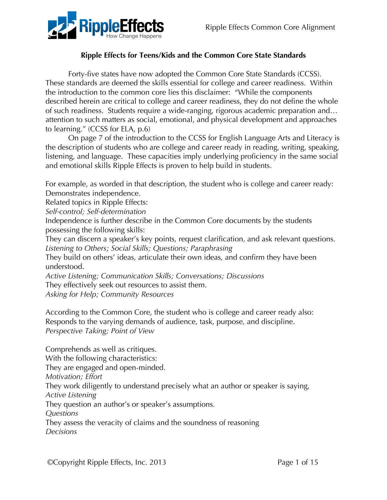

# **Ripple Effects for Teens/Kids and the Common Core State Standards**

Forty-five states have now adopted the Common Core State Standards (CCSS). These standards are deemed the skills essential for college and career readiness. Within the introduction to the common core lies this disclaimer: "While the components described herein are critical to college and career readiness, they do not define the whole of such readiness. Students require a wide-ranging, rigorous academic preparation and… attention to such matters as social, emotional, and physical development and approaches to learning." (CCSS for ELA, p.6)

On page 7 of the introduction to the CCSS for English Language Arts and Literacy is the description of students who are college and career ready in reading, writing, speaking, listening, and language. These capacities imply underlying proficiency in the same social and emotional skills Ripple Effects is proven to help build in students.

For example, as worded in that description, the student who is college and career ready: Demonstrates independence.

Related topics in Ripple Effects:

*Self-control; Self-determination*

Independence is further describe in the Common Core documents by the students possessing the following skills:

They can discern a speaker's key points, request clarification, and ask relevant questions. *Listening to Others; Social Skills; Questions; Paraphrasing*

They build on others' ideas, articulate their own ideas, and confirm they have been understood.

*Active Listening; Communication Skills; Conversations; Discussions* They effectively seek out resources to assist them.

*Asking for Help; Community Resources*

According to the Common Core, the student who is college and career ready also: Responds to the varying demands of audience, task, purpose, and discipline. *Perspective Taking; Point of View*

Comprehends as well as critiques. With the following characteristics: They are engaged and open-minded. *Motivation; Effort* They work diligently to understand precisely what an author or speaker is saying, *Active Listening* They question an author's or speaker's assumptions. *Questions* They assess the veracity of claims and the soundness of reasoning *Decisions*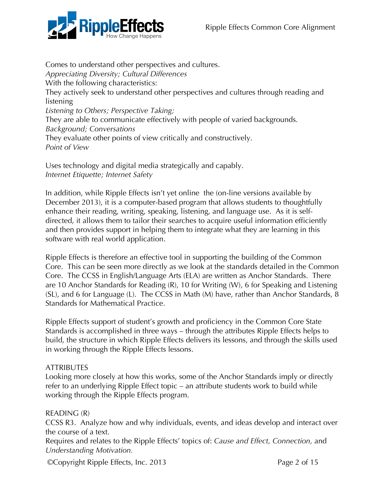

Comes to understand other perspectives and cultures. *Appreciating Diversity; Cultural Differences* With the following characteristics: They actively seek to understand other perspectives and cultures through reading and listening *Listening to Others; Perspective Taking;*  They are able to communicate effectively with people of varied backgrounds. *Background; Conversations* They evaluate other points of view critically and constructively. *Point of View*

Uses technology and digital media strategically and capably. *Internet Etiquette; Internet Safety*

In addition, while Ripple Effects isn't yet online the (on-line versions available by December 2013), it is a computer-based program that allows students to thoughtfully enhance their reading, writing, speaking, listening, and language use. As it is selfdirected, it allows them to tailor their searches to acquire useful information efficiently and then provides support in helping them to integrate what they are learning in this software with real world application.

Ripple Effects is therefore an effective tool in supporting the building of the Common Core. This can be seen more directly as we look at the standards detailed in the Common Core. The CCSS in English/Language Arts (ELA) are written as Anchor Standards. There are 10 Anchor Standards for Reading (R), 10 for Writing (W), 6 for Speaking and Listening (SL), and 6 for Language (L). The CCSS in Math (M) have, rather than Anchor Standards, 8 Standards for Mathematical Practice.

Ripple Effects support of student's growth and proficiency in the Common Core State Standards is accomplished in three ways – through the attributes Ripple Effects helps to build, the structure in which Ripple Effects delivers its lessons, and through the skills used in working through the Ripple Effects lessons.

# **ATTRIBUTES**

Looking more closely at how this works, some of the Anchor Standards imply or directly refer to an underlying Ripple Effect topic – an attribute students work to build while working through the Ripple Effects program.

#### READING (R)

CCSS R3. Analyze how and why individuals, events, and ideas develop and interact over the course of a text.

Requires and relates to the Ripple Effects' topics of: *Cause and Effect, Connection,* and *Understanding Motivation.*

©Copyright Ripple Effects, Inc. 2013 Page 2 of 15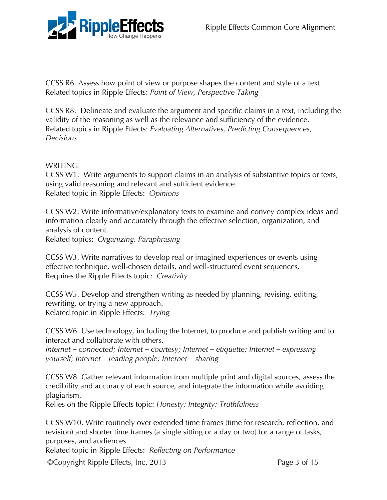

CCSS R6. Assess how point of view or purpose shapes the content and style of a text. Related topics in Ripple Effects: *Point of View, Perspective Taking*

CCSS R8. Delineate and evaluate the argument and specific claims in a text, including the validity of the reasoning as well as the relevance and sufficiency of the evidence. Related topics in Ripple Effects: *Evaluating Alternatives, Predicting Consequences, Decisions*

WRITING

CCSS W1: Write arguments to support claims in an analysis of substantive topics or texts, using valid reasoning and relevant and sufficient evidence. Related topic in Ripple Effects: *Opinions*

CCSS W2: Write informative/explanatory texts to examine and convey complex ideas and information clearly and accurately through the effective selection, organization, and analysis of content.

Related topics: *Organizing, Paraphrasing*

CCSS W3. Write narratives to develop real or imagined experiences or events using effective technique, well-chosen details, and well-structured event sequences. Requires the Ripple Effects topic: *Creativity*

CCSS W5. Develop and strengthen writing as needed by planning, revising, editing, rewriting, or trying a new approach. Related topic in Ripple Effects: *Trying*

CCSS W6. Use technology, including the Internet, to produce and publish writing and to interact and collaborate with others.

*Internet – connected; Internet – courtesy; Internet – etiquette; Internet – expressing yourself; Internet – reading people; Internet – sharing*

CCSS W8. Gather relevant information from multiple print and digital sources, assess the credibility and accuracy of each source, and integrate the information while avoiding plagiarism.

Relies on the Ripple Effects topic: *Honesty; Integrity; Truthfulness*

CCSS W10. Write routinely over extended time frames (time for research, reflection, and revision) and shorter time frames (a single sitting or a day or two) for a range of tasks, purposes, and audiences.

Related topic in Ripple Effects: *Reflecting on Performance*

©Copyright Ripple Effects, Inc. 2013 Page 3 of 15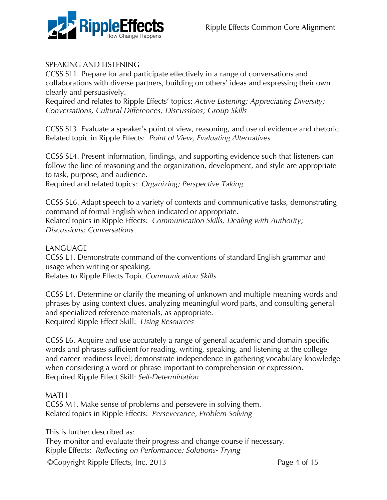

## SPEAKING AND LISTENING

CCSS SL1. Prepare for and participate effectively in a range of conversations and collaborations with diverse partners, building on others' ideas and expressing their own clearly and persuasively.

Required and relates to Ripple Effects' topics: *Active Listening; Appreciating Diversity; Conversations; Cultural Differences; Discussions; Group Skills*

CCSS SL3. Evaluate a speaker's point of view, reasoning, and use of evidence and rhetoric. Related topic in Ripple Effects: *Point of View, Evaluating Alternatives*

CCSS SL4. Present information, findings, and supporting evidence such that listeners can follow the line of reasoning and the organization, development, and style are appropriate to task, purpose, and audience.

Required and related topics: *Organizing; Perspective Taking*

CCSS SL6. Adapt speech to a variety of contexts and communicative tasks, demonstrating command of formal English when indicated or appropriate. Related topics in Ripple Effects: *Communication Skills; Dealing with Authority; Discussions; Conversations*

#### LANGUAGE

CCSS L1. Demonstrate command of the conventions of standard English grammar and usage when writing or speaking.

Relates to Ripple Effects Topic *Communication Skills*

CCSS L4. Determine or clarify the meaning of unknown and multiple-meaning words and phrases by using context clues, analyzing meaningful word parts, and consulting general and specialized reference materials, as appropriate. Required Ripple Effect Skill: *Using Resources*

CCSS L6. Acquire and use accurately a range of general academic and domain-specific words and phrases sufficient for reading, writing, speaking, and listening at the college and career readiness level; demonstrate independence in gathering vocabulary knowledge when considering a word or phrase important to comprehension or expression. Required Ripple Effect Skill: *Self-Determination*

#### MATH

CCSS M1. Make sense of problems and persevere in solving them. Related topics in Ripple Effects: *Perseverance, Problem Solving*

This is further described as:

They monitor and evaluate their progress and change course if necessary. Ripple Effects: *Reflecting on Performance: Solutions- Trying*

©Copyright Ripple Effects, Inc. 2013 Page 4 of 15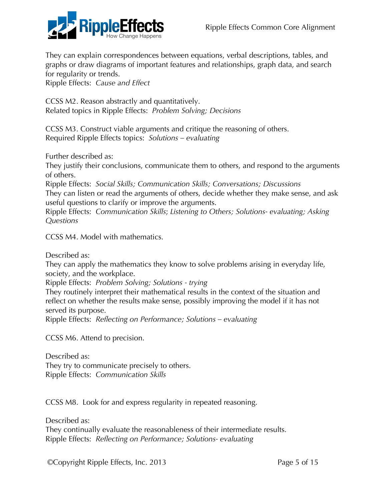

They can explain correspondences between equations, verbal descriptions, tables, and graphs or draw diagrams of important features and relationships, graph data, and search for regularity or trends.

Ripple Effects: *Cause and Effect*

CCSS M2. Reason abstractly and quantitatively. Related topics in Ripple Effects: *Problem Solving; Decisions*

CCSS M3. Construct viable arguments and critique the reasoning of others. Required Ripple Effects topics: *Solutions – evaluating*

Further described as:

They justify their conclusions, communicate them to others, and respond to the arguments of others.

Ripple Effects: *Social Skills; Communication Skills; Conversations; Discussions* They can listen or read the arguments of others, decide whether they make sense, and ask useful questions to clarify or improve the arguments.

Ripple Effects: *Communication Skills*; *Listening to Others; Solutions- evaluating; Asking Questions*

CCSS M4. Model with mathematics.

Described as:

They can apply the mathematics they know to solve problems arising in everyday life, society, and the workplace.

Ripple Effects: *Problem Solving; Solutions - trying* 

They routinely interpret their mathematical results in the context of the situation and reflect on whether the results make sense, possibly improving the model if it has not served its purpose.

Ripple Effects: *Reflecting on Performance; Solutions – evaluating*

CCSS M6. Attend to precision.

Described as: They try to communicate precisely to others. Ripple Effects: *Communication Skills*

CCSS M8. Look for and express regularity in repeated reasoning.

Described as:

They continually evaluate the reasonableness of their intermediate results. Ripple Effects: *Reflecting on Performance; Solutions- evaluating*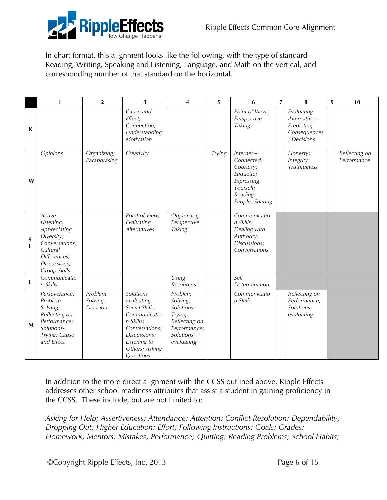

In chart format, this alignment looks like the following, with the type of standard – Reading, Writing, Speaking and Listening, Language, and Math on the vertical, and corresponding number of that standard on the horizontal.

|                  | 1                                                                                                                                | $\overline{2}$                            | 3                                                                                                                                                         | $\overline{\mathbf{4}}$                                                                                      | 5             | 6                                                                                                              | $\overline{7}$ | 8                                                                        | 9 | 10                           |
|------------------|----------------------------------------------------------------------------------------------------------------------------------|-------------------------------------------|-----------------------------------------------------------------------------------------------------------------------------------------------------------|--------------------------------------------------------------------------------------------------------------|---------------|----------------------------------------------------------------------------------------------------------------|----------------|--------------------------------------------------------------------------|---|------------------------------|
| R                |                                                                                                                                  |                                           | Cause and<br>Effect;<br>Connection;<br>Understanding<br>Motivation                                                                                        |                                                                                                              |               | Point of View;<br>Perspective<br>Taking                                                                        |                | Evaluating<br>Alternatives:<br>Predicting<br>Consequences<br>; Decisions |   |                              |
| W                | Opinions                                                                                                                         | $\overline{Organizing}$ ;<br>Paraphrasing | Creativity                                                                                                                                                |                                                                                                              | <b>Trying</b> | $Internet -$<br>Connected;<br>Courtesy;<br>Etiquette;<br>Expressing<br>Yourself;<br>Reading<br>People; Sharing |                | Honesty;<br>Integrity;<br><b>Truthfulness</b>                            |   | Reflecting on<br>Performance |
| $\mathbf S$<br>L | Active<br>Listening;<br>Appreciating<br>Diversity;<br>Conversations;<br>Cultural<br>Differences;<br>Discussions;<br>Group Skills |                                           | Point of View,<br>Evaluating<br>Alternatives                                                                                                              | Organizing;<br>Perspective<br>Taking                                                                         |               | Communicatio<br>n Skills;<br>Dealing with<br>Authority;<br>Discussions;<br>Conversations                       |                |                                                                          |   |                              |
| L                | Communicatio<br>n Skills                                                                                                         |                                           |                                                                                                                                                           | Using<br><b>Resources</b>                                                                                    |               | Self-<br>Determination                                                                                         |                |                                                                          |   |                              |
| $\mathbf{M}$     | Perseverance,<br>Problem<br>Solving;<br>Reflecting on<br>Performance:<br>Solutions-<br>Trying; Cause<br>and Effect               | Problem<br>Solving;<br>Decisions          | Solutions-<br>evaluating;<br>Social Skills;<br>Communicatio<br>n Skills;<br>Conversations;<br>Discussions;<br>Listening to<br>Others; Asking<br>Questions | Problem<br>Solving;<br>Solutions-<br>Trying;<br>Reflecting on<br>Performance;<br>$Solutions -$<br>evaluating |               | Communicatio<br>n Skills                                                                                       |                | Reflecting on<br>Performance;<br>Solutions-<br>evaluating                |   |                              |

In addition to the more direct alignment with the CCSS outlined above, Ripple Effects addresses other school readiness attributes that assist a student in gaining proficiency in the CCSS. These include, but are not limited to:

*Asking for Help; Assertiveness; Attendance; Attention; Conflict Resolution; Dependability; Dropping Out; Higher Education; Effort; Following Instructions; Goals; Grades; Homework; Mentors; Mistakes; Performance; Quitting; Reading Problems; School Habits;*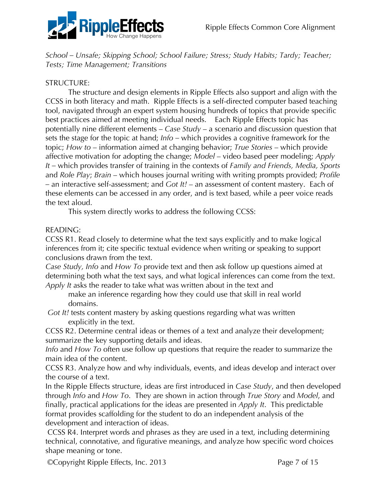

*School – Unsafe; Skipping School; School Failure; Stress; Study Habits; Tardy; Teacher; Tests; Time Management; Transitions*

## STRUCTURE:

The structure and design elements in Ripple Effects also support and align with the CCSS in both literacy and math. Ripple Effects is a self-directed computer based teaching tool, navigated through an expert system housing hundreds of topics that provide specific best practices aimed at meeting individual needs. Each Ripple Effects topic has potentially nine different elements – *Case Study* – a scenario and discussion question that sets the stage for the topic at hand; *Info –* which provides a cognitive framework for the topic; *How to* – information aimed at changing behavior; *True Stories* – which provide affective motivation for adopting the change; *Model* – video based peer modeling; *Apply It –* which provides transfer of training in the contexts of *Family and Friends, Media, Sports*  and *Role Play*; *Brain* – which houses journal writing with writing prompts provided; *Profile –* an interactive self-assessment; and *Got It!* – an assessment of content mastery. Each of these elements can be accessed in any order, and is text based, while a peer voice reads the text aloud.

This system directly works to address the following CCSS:

#### READING:

CCSS R1. Read closely to determine what the text says explicitly and to make logical inferences from it; cite specific textual evidence when writing or speaking to support conclusions drawn from the text.

*Case Study, Info* and *How To* provide text and then ask follow up questions aimed at determining both what the text says, and what logical inferences can come from the text. *Apply It* asks the reader to take what was written about in the text and

make an inference regarding how they could use that skill in real world domains.

 *Got It!* tests content mastery by asking questions regarding what was written explicitly in the text.

CCSS R2. Determine central ideas or themes of a text and analyze their development; summarize the key supporting details and ideas.

*Info* and *How To* often use follow up questions that require the reader to summarize the main idea of the content.

CCSS R3. Analyze how and why individuals, events, and ideas develop and interact over the course of a text.

In the Ripple Effects structure, ideas are first introduced in *Case Study*, and then developed through *Info* and *How To*. They are shown in action through *True Story* and *Model*, and finally, practical applications for the ideas are presented in *Apply It*. This predictable format provides scaffolding for the student to do an independent analysis of the development and interaction of ideas.

 CCSS R4. Interpret words and phrases as they are used in a text, including determining technical, connotative, and figurative meanings, and analyze how specific word choices shape meaning or tone.

©Copyright Ripple Effects, Inc. 2013 Page 7 of 15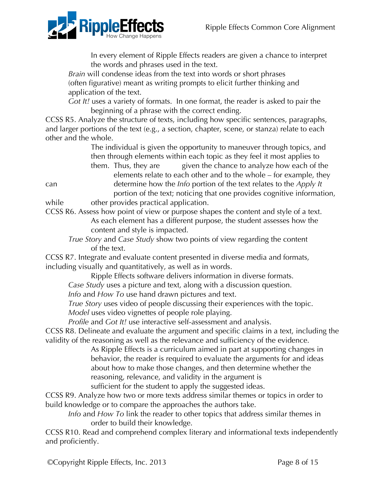

In every element of Ripple Effects readers are given a chance to interpret the words and phrases used in the text.

*Brain* will condense ideas from the text into words or short phrases (often figurative) meant as writing prompts to elicit further thinking and application of the text.

*Got It!* uses a variety of formats. In one format, the reader is asked to pair the beginning of a phrase with the correct ending.

CCSS R5. Analyze the structure of texts, including how specific sentences, paragraphs, and larger portions of the text (e.g., a section, chapter, scene, or stanza) relate to each other and the whole.

The individual is given the opportunity to maneuver through topics, and then through elements within each topic as they feel it most applies to them. Thus, they are given the chance to analyze how each of the

elements relate to each other and to the whole – for example, they can determine how the *Info* portion of the text relates to the *Apply It* portion of the text; noticing that one provides cognitive information,

while other provides practical application.

CCSS R6. Assess how point of view or purpose shapes the content and style of a text. As each element has a different purpose, the student assesses how the content and style is impacted.

*True Story* and *Case Study* show two points of view regarding the content of the text.

CCSS R7. Integrate and evaluate content presented in diverse media and formats, including visually and quantitatively, as well as in words.

Ripple Effects software delivers information in diverse formats.

*Case Study* uses a picture and text, along with a discussion question.

*Info* and *How To* use hand drawn pictures and text.

*True Story* uses video of people discussing their experiences with the topic. *Model* uses video vignettes of people role playing.

*Profile* and *Got It!* use interactive self-assessment and analysis.

CCSS R8. Delineate and evaluate the argument and specific claims in a text, including the validity of the reasoning as well as the relevance and sufficiency of the evidence.

As Ripple Effects is a curriculum aimed in part at supporting changes in behavior, the reader is required to evaluate the arguments for and ideas about how to make those changes, and then determine whether the reasoning, relevance, and validity in the argument is sufficient for the student to apply the suggested ideas.

CCSS R9. Analyze how two or more texts address similar themes or topics in order to build knowledge or to compare the approaches the authors take.

*Info* and *How To* link the reader to other topics that address similar themes in order to build their knowledge.

CCSS R10. Read and comprehend complex literary and informational texts independently and proficiently.

©Copyright Ripple Effects, Inc. 2013 Page 8 of 15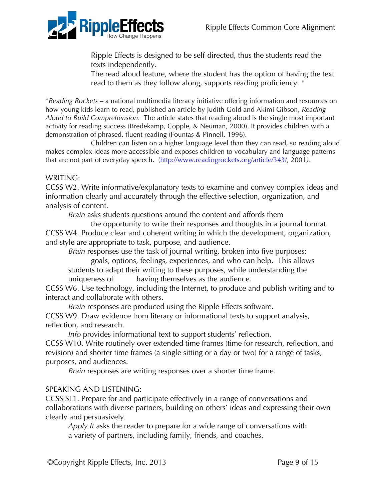

Ripple Effects is designed to be self-directed, thus the students read the texts independently.

The read aloud feature, where the student has the option of having the text read to them as they follow along, supports reading proficiency. \*

\**Reading Rockets* – a national multimedia literacy initiative offering information and resources on how young kids learn to read, published an article by Judith Gold and Akimi Gibson, *Reading Aloud to Build Comprehension.* The article states that reading aloud is the single most important activity for reading success (Bredekamp, Copple, & Neuman, 2000). It provides children with a demonstration of phrased, fluent reading (Fountas & Pinnell, 1996).

Children can listen on a higher language level than they can read, so reading aloud makes complex ideas more accessible and exposes children to vocabulary and language patterns that are not part of everyday speech. (http://www.readingrockets.org/article/343/, 2001*)*.

#### WRITING:

CCSS W2. Write informative/explanatory texts to examine and convey complex ideas and information clearly and accurately through the effective selection, organization, and analysis of content.

*Brain* asks students questions around the content and affords them

the opportunity to write their responses and thoughts in a journal format. CCSS W4. Produce clear and coherent writing in which the development, organization, and style are appropriate to task, purpose, and audience.

*Brain* responses use the task of journal writing, broken into five purposes:

goals, options, feelings, experiences, and who can help. This allows students to adapt their writing to these purposes, while understanding the uniqueness of having themselves as the audience.

CCSS W6. Use technology, including the Internet, to produce and publish writing and to interact and collaborate with others.

*Brain* responses are produced using the Ripple Effects software. CCSS W9. Draw evidence from literary or informational texts to support analysis, reflection, and research.

*Info* provides informational text to support students' reflection.

CCSS W10. Write routinely over extended time frames (time for research, reflection, and revision) and shorter time frames (a single sitting or a day or two) for a range of tasks, purposes, and audiences.

*Brain* responses are writing responses over a shorter time frame.

# SPEAKING AND LISTENING:

CCSS SL1. Prepare for and participate effectively in a range of conversations and collaborations with diverse partners, building on others' ideas and expressing their own clearly and persuasively.

*Apply It* asks the reader to prepare for a wide range of conversations with a variety of partners, including family, friends, and coaches.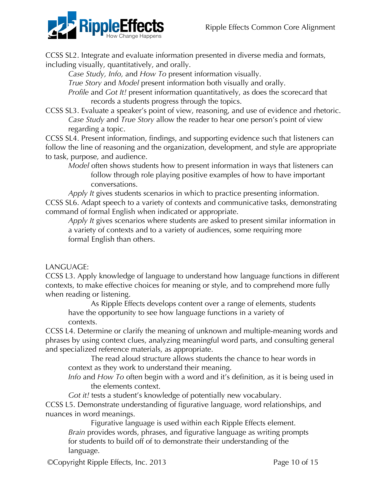

CCSS SL2. Integrate and evaluate information presented in diverse media and formats, including visually, quantitatively, and orally.

*Case Study, Info,* and *How To* present information visually.

*True Story* and *Model* present information both visually and orally.

*Profile* and *Got It!* present information quantitatively, as does the scorecard that records a students progress through the topics.

CCSS SL3. Evaluate a speaker's point of view, reasoning, and use of evidence and rhetoric. *Case Study* and *True Story* allow the reader to hear one person's point of view regarding a topic.

CCSS SL4. Present information, findings, and supporting evidence such that listeners can follow the line of reasoning and the organization, development, and style are appropriate to task, purpose, and audience.

*Model* often shows students how to present information in ways that listeners can follow through role playing positive examples of how to have important conversations.

*Apply It* gives students scenarios in which to practice presenting information. CCSS SL6. Adapt speech to a variety of contexts and communicative tasks, demonstrating command of formal English when indicated or appropriate.

*Apply It* gives scenarios where students are asked to present similar information in a variety of contexts and to a variety of audiences, some requiring more formal English than others.

# LANGUAGE:

CCSS L3. Apply knowledge of language to understand how language functions in different contexts, to make effective choices for meaning or style, and to comprehend more fully when reading or listening.

As Ripple Effects develops content over a range of elements, students have the opportunity to see how language functions in a variety of contexts.

CCSS L4. Determine or clarify the meaning of unknown and multiple-meaning words and phrases by using context clues, analyzing meaningful word parts, and consulting general and specialized reference materials, as appropriate.

The read aloud structure allows students the chance to hear words in context as they work to understand their meaning.

*Info* and *How To* often begin with a word and it's definition, as it is being used in the elements context.

*Got it!* tests a student's knowledge of potentially new vocabulary.

CCSS L5. Demonstrate understanding of figurative language, word relationships, and nuances in word meanings.

Figurative language is used within each Ripple Effects element. *Brain* provides words, phrases, and figurative language as writing prompts for students to build off of to demonstrate their understanding of the language.

©Copyright Ripple Effects, Inc. 2013 Page 10 of 15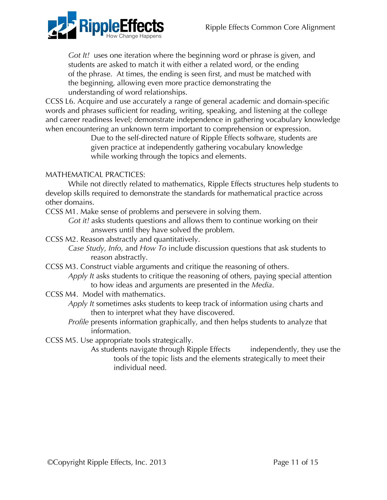

*Got It!* uses one iteration where the beginning word or phrase is given, and students are asked to match it with either a related word, or the ending of the phrase. At times, the ending is seen first, and must be matched with the beginning, allowing even more practice demonstrating the understanding of word relationships.

CCSS L6. Acquire and use accurately a range of general academic and domain-specific words and phrases sufficient for reading, writing, speaking, and listening at the college and career readiness level; demonstrate independence in gathering vocabulary knowledge when encountering an unknown term important to comprehension or expression.

> Due to the self-directed nature of Ripple Effects software, students are given practice at independently gathering vocabulary knowledge while working through the topics and elements.

# MATHEMATICAL PRACTICES:

While not directly related to mathematics, Ripple Effects structures help students to develop skills required to demonstrate the standards for mathematical practice across other domains.

CCSS M1. Make sense of problems and persevere in solving them.

*Got it!* asks students questions and allows them to continue working on their answers until they have solved the problem.

CCSS M2. Reason abstractly and quantitatively.

*Case Study, Info,* and *How To* include discussion questions that ask students to reason abstractly.

CCSS M3. Construct viable arguments and critique the reasoning of others.

*Apply It* asks students to critique the reasoning of others, paying special attention to how ideas and arguments are presented in the *Media*.

CCSS M4. Model with mathematics.

*Apply It* sometimes asks students to keep track of information using charts and then to interpret what they have discovered.

*Profile* presents information graphically, and then helps students to analyze that information.

CCSS M5. Use appropriate tools strategically.

As students navigate through Ripple Effects independently, they use the tools of the topic lists and the elements strategically to meet their individual need.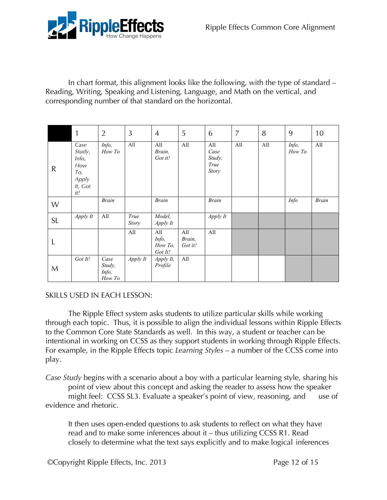

In chart format, this alignment looks like the following, with the type of standard – Reading, Writing, Speaking and Listening, Language, and Math on the vertical, and corresponding number of that standard on the horizontal.

|           | 1                                                                | $\overline{2}$                    | 3                    | $\overline{4}$                     | 5                        | 6                                      | 7   | 8   | 9               | 10           |
|-----------|------------------------------------------------------------------|-----------------------------------|----------------------|------------------------------------|--------------------------|----------------------------------------|-----|-----|-----------------|--------------|
| ${\sf R}$ | Case<br>Study,<br>Info,<br>How<br>To,<br>Apply<br>It, Got<br>it! | Info,<br>How To                   | All                  | All<br>Brain,<br>Got it!           | All                      | All<br>Case<br>Study,<br>True<br>Story | All | All | Info,<br>How To | All          |
| W         |                                                                  | <b>Brain</b>                      |                      | <b>Brain</b>                       |                          | <b>Brain</b>                           |     |     | <b>Info</b>     | <b>Brain</b> |
| <b>SL</b> | Apply It                                                         | All                               | True<br><b>Story</b> | Model,<br>Apply It                 |                          | Apply It                               |     |     |                 |              |
| L         |                                                                  |                                   | All                  | All<br>Info,<br>How To,<br>Got It! | All<br>Brain,<br>Got it! | All                                    |     |     |                 |              |
| M         | Got It!                                                          | Case<br>Study,<br>Info,<br>How To | Apply It             | Apply It,<br>Profile               | All                      |                                        |     |     |                 |              |

# SKILLS USED IN EACH LESSON:

The Ripple Effect system asks students to utilize particular skills while working through each topic. Thus, it is possible to align the individual lessons within Ripple Effects to the Common Core State Standards as well. In this way, a student or teacher can be intentional in working on CCSS as they support students in working through Ripple Effects. For example, in the Ripple Effects topic *Learning Styles* – a number of the CCSS come into play.

*Case Study* begins with a scenario about a boy with a particular learning style, sharing his point of view about this concept and asking the reader to assess how the speaker might feel: CCSS SL3. Evaluate a speaker's point of view, reasoning, and use of evidence and rhetoric.

It then uses open-ended questions to ask students to reflect on what they have read and to make some inferences about it – thus utilizing CCSS R1. Read closely to determine what the text says explicitly and to make logical inferences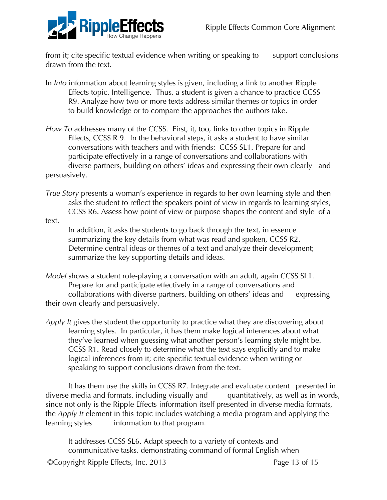

from it; cite specific textual evidence when writing or speaking to support conclusions drawn from the text.

- In *Info* information about learning styles is given, including a link to another Ripple Effects topic, Intelligence. Thus, a student is given a chance to practice CCSS R9. Analyze how two or more texts address similar themes or topics in order to build knowledge or to compare the approaches the authors take.
- *How To* addresses many of the CCSS. First, it, too, links to other topics in Ripple Effects, CCSS R 9. In the behavioral steps, it asks a student to have similar conversations with teachers and with friends: CCSS SL1. Prepare for and participate effectively in a range of conversations and collaborations with diverse partners, building on others' ideas and expressing their own clearly and persuasively.
- *True Story* presents a woman's experience in regards to her own learning style and then asks the student to reflect the speakers point of view in regards to learning styles, CCSS R6. Assess how point of view or purpose shapes the content and style of a

text.

In addition, it asks the students to go back through the text, in essence summarizing the key details from what was read and spoken, CCSS R2. Determine central ideas or themes of a text and analyze their development; summarize the key supporting details and ideas.

- *Model* shows a student role-playing a conversation with an adult, again CCSS SL1. Prepare for and participate effectively in a range of conversations and collaborations with diverse partners, building on others' ideas and expressing their own clearly and persuasively.
- *Apply It* gives the student the opportunity to practice what they are discovering about learning styles. In particular, it has them make logical inferences about what they've learned when guessing what another person's learning style might be. CCSS R1. Read closely to determine what the text says explicitly and to make logical inferences from it; cite specific textual evidence when writing or speaking to support conclusions drawn from the text.

It has them use the skills in CCSS R7. Integrate and evaluate content presented in diverse media and formats, including visually and quantitatively, as well as in words, since not only is the Ripple Effects information itself presented in diverse media formats, the *Apply It* element in this topic includes watching a media program and applying the learning styles information to that program.

It addresses CCSS SL6. Adapt speech to a variety of contexts and communicative tasks, demonstrating command of formal English when

©Copyright Ripple Effects, Inc. 2013 Page 13 of 15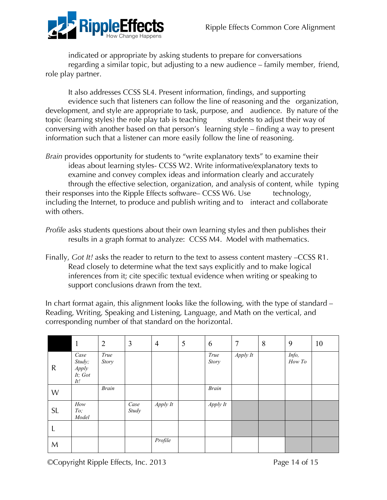

indicated or appropriate by asking students to prepare for conversations regarding a similar topic, but adjusting to a new audience – family member, friend, role play partner.

It also addresses CCSS SL4. Present information, findings, and supporting evidence such that listeners can follow the line of reasoning and the organization, development, and style are appropriate to task, purpose, and audience. By nature of the topic (learning styles) the role play tab is teaching students to adjust their way of conversing with another based on that person's learning style – finding a way to present information such that a listener can more easily follow the line of reasoning.

- *Brain* provides opportunity for students to "write explanatory texts" to examine their ideas about learning styles- CCSS W2. Write informative/explanatory texts to examine and convey complex ideas and information clearly and accurately through the effective selection, organization, and analysis of content, while typing their responses into the Ripple Effects software– CCSS W6. Use technology, including the Internet, to produce and publish writing and to interact and collaborate with others.
- *Profile* asks students questions about their own learning styles and then publishes their results in a graph format to analyze: CCSS M4. Model with mathematics.
- Finally, *Got It!* asks the reader to return to the text to assess content mastery –CCSS R1. Read closely to determine what the text says explicitly and to make logical inferences from it; cite specific textual evidence when writing or speaking to support conclusions drawn from the text.

In chart format again, this alignment looks like the following, with the type of standard – Reading, Writing, Speaking and Listening, Language, and Math on the vertical, and corresponding number of that standard on the horizontal.

|              | 1                                         | $\overline{2}$ | 3             | $\overline{4}$ | 5 | 6             | $\overline{7}$ | 8 | 9               | 10 |
|--------------|-------------------------------------------|----------------|---------------|----------------|---|---------------|----------------|---|-----------------|----|
| $\mathsf{R}$ | Case<br>Study;<br>Apply<br>It; Got<br>It! | True<br>Story  |               |                |   | True<br>Story | Apply It       |   | Info,<br>How To |    |
| W            |                                           | <b>Brain</b>   |               |                |   | <b>Brain</b>  |                |   |                 |    |
| <b>SL</b>    | $How$<br>To;<br>Model                     |                | Case<br>Study | Apply It       |   | Apply It      |                |   |                 |    |
| L            |                                           |                |               |                |   |               |                |   |                 |    |
| M            |                                           |                |               | Profile        |   |               |                |   |                 |    |